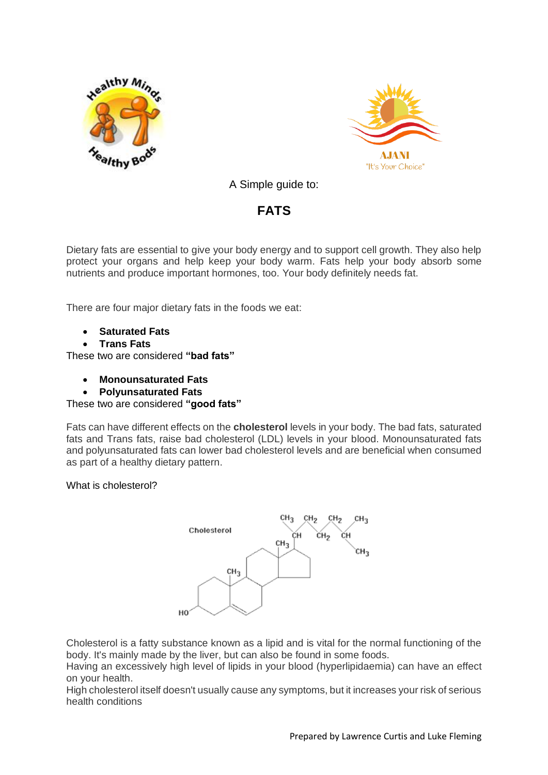



A Simple guide to:

# **FATS**

Dietary fats are essential to give your body energy and to support cell growth. They also help protect your organs and help keep your body warm. Fats help your body absorb some nutrients and produce important hormones, too. Your body definitely needs fat.

There are four major dietary fats in the foods we eat:

- **Saturated Fats**
- **Trans Fats**

These two are considered **"bad fats"**

- **Monounsaturated Fats**
- **Polyunsaturated Fats**

These two are considered **"good fats"**

Fats can have different effects on the **cholesterol** levels in your body. The bad fats, saturated fats and Trans fats, raise bad cholesterol (LDL) levels in your blood. Monounsaturated fats and polyunsaturated fats can lower bad cholesterol levels and are beneficial when consumed as part of a healthy dietary pattern.

What is cholesterol?



Cholesterol is a fatty substance known as a lipid and is vital for the normal functioning of the body. It's mainly made by the liver, but can also be found in some foods.

Having an excessively high level of lipids in your blood (hyperlipidaemia) can have an effect on your health.

High cholesterol itself doesn't usually cause any symptoms, but it increases your risk of serious health conditions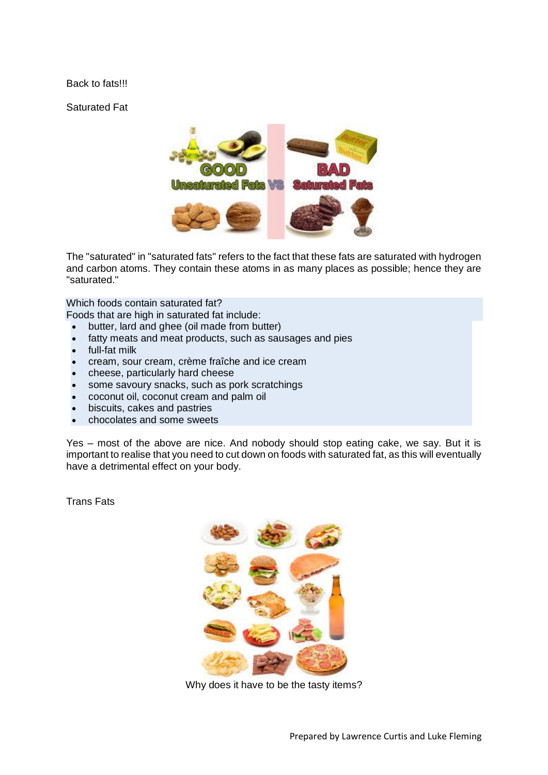### Back to fats!!!

Saturated Fat



The "saturated" in "saturated fats" refers to the fact that these fats are saturated with hydrogen and carbon atoms. They contain these atoms in as many places as possible; hence they are "saturated."

Which foods contain saturated fat?

Foods that are high in saturated fat include:

- butter, lard and ghee (oil made from butter)
- fatty meats and meat products, such as sausages and pies
- full-fat milk
- cream, sour cream, crème fraîche and ice cream
- cheese, particularly hard cheese
- some savoury snacks, such as pork scratchings
- coconut oil, coconut cream and palm oil
- biscuits, cakes and pastries
- chocolates and some sweets

Yes – most of the above are nice. And nobody should stop eating cake, we say. But it is important to realise that you need to cut down on foods with saturated fat, as this will eventually have a detrimental effect on your body.

Trans Fats



Why does it have to be the tasty items?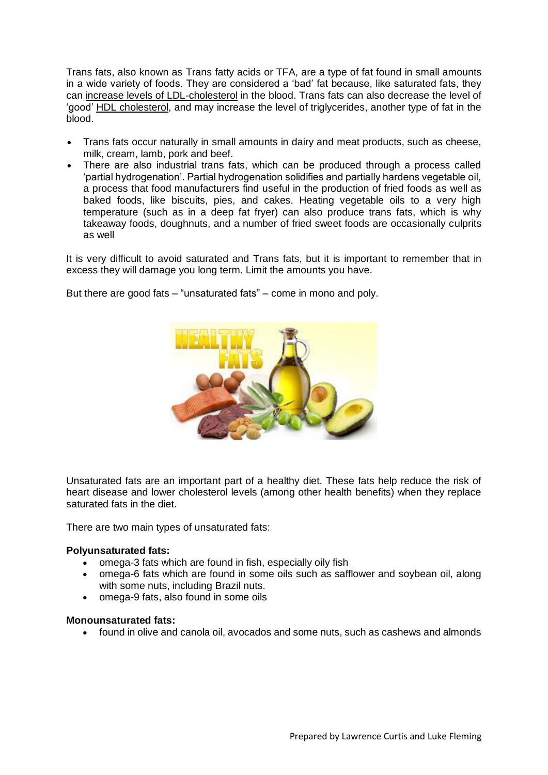Trans fats, also known as Trans fatty acids or TFA, are a type of fat found in small amounts in a wide variety of foods. They are considered a 'bad' fat because, like saturated fats, they can [increase levels of LDL-cholesterol](http://www.nhs.uk/Livewell/Healthyhearts/Pages/Cholesterol.aspx) in the blood. Trans fats can also decrease the level of 'good' [HDL cholesterol,](http://www.floraproactiv.co.uk/article/detail/1053823/what-is-hdl-cholesterol-levels) and may increase the level of triglycerides, another type of fat in the blood.

- Trans fats occur naturally in small amounts in dairy and meat products, such as cheese, milk, cream, lamb, pork and beef.
- There are also industrial trans fats, which can be produced through a process called 'partial hydrogenation'. Partial hydrogenation solidifies and partially hardens vegetable oil, a process that food manufacturers find useful in the production of fried foods as well as baked foods, like biscuits, pies, and cakes. Heating vegetable oils to a very high temperature (such as in a deep fat fryer) can also produce trans fats, which is why takeaway foods, doughnuts, and a number of fried sweet foods are occasionally culprits as well

It is very difficult to avoid saturated and Trans fats, but it is important to remember that in excess they will damage you long term. Limit the amounts you have.

But there are good fats – "unsaturated fats" – come in mono and poly.



Unsaturated fats are an important part of a healthy diet. These fats help reduce the risk of heart disease and lower cholesterol levels (among other health benefits) when they replace saturated fats in the diet.

There are two main types of unsaturated fats:

#### **Polyunsaturated fats:**

- omega-3 fats which are found in fish, especially oily fish
- omega-6 fats which are found in some oils such as safflower and soybean oil, along with some nuts, including Brazil nuts.
- omega-9 fats, also found in some oils

#### **Monounsaturated fats:**

found in olive and canola oil, avocados and some nuts, such as cashews and almonds